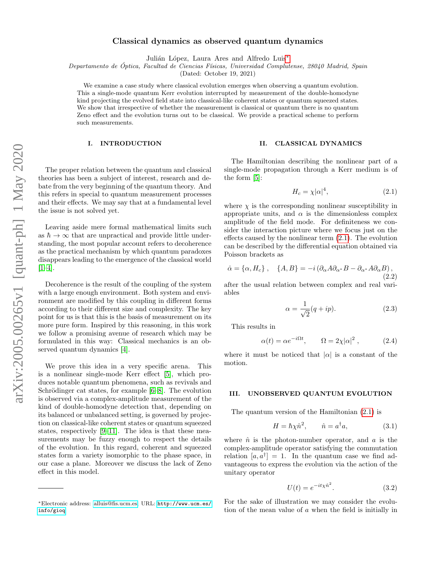# Classical dynamics as observed quantum dynamics

Julián López, Laura Ares and Alfredo Luis<sup>\*</sup>

Departamento de Óptica, Facultad de Ciencias Físicas, Universidad Complutense, 28040 Madrid, Spain

(Dated: October 19, 2021)

We examine a case study where classical evolution emerges when observing a quantum evolution. This a single-mode quantum Kerr evolution interrupted by measurement of the double-homodyne kind projecting the evolved field state into classical-like coherent states or quantum squeezed states. We show that irrespective of whether the measurement is classical or quantum there is no quantum Zeno effect and the evolution turns out to be classical. We provide a practical scheme to perform such measurements.

### I. INTRODUCTION

The proper relation between the quantum and classical theories has been a subject of interest, research and debate from the very beginning of the quantum theory. And this refers in special to quantum measurement processes and their effects. We may say that at a fundamental level the issue is not solved yet.

Leaving aside mere formal mathematical limits such as  $\hbar \to \infty$  that are unpractical and provide little understanding, the most popular account refers to decoherence as the practical mechanism by which quantum paradoxes disappears leading to the emergence of the classical world  $[1-4]$  $[1-4]$ .

Decoherence is the result of the coupling of the system with a large enough environment. Both system and environment are modified by this coupling in different forms according to their different size and complexity. The key point for us is that this is the basis of measurement on its more pure form. Inspired by this reasoning, in this work we follow a promising avenue of research which may be formulated in this way: Classical mechanics is an observed quantum dynamics [\[4\]](#page-7-1).

We prove this idea in a very specific arena. This is a nonlinear single-mode Kerr effect [\[5\]](#page-7-2), which produces notable quantum phenomena, such as revivals and Schrödinger cat states, for example  $[6–8]$  $[6–8]$ . The evolution is observed via a complex-amplitude measurement of the kind of double-homodyne detection that, depending on its balanced or unbalanced setting, is governed by projection on classical-like coherent states or quantum squeezed states, respectively [\[9–](#page-7-5)[11\]](#page-7-6). The idea is that these measurements may be fuzzy enough to respect the details of the evolution. In this regard, coherent and squeezed states form a variety isomorphic to the phase space, in our case a plane. Moreover we discuss the lack of Zeno effect in this model.

#### II. CLASSICAL DYNAMICS

The Hamiltonian describing the nonlinear part of a single-mode propagation through a Kerr medium is of the form [\[5\]](#page-7-2):

<span id="page-0-1"></span>
$$
H_c = \chi |\alpha|^4,\tag{2.1}
$$

where  $\chi$  is the corresponding nonlinear susceptibility in appropriate units, and  $\alpha$  is the dimensionless complex amplitude of the field mode. For definiteness we consider the interaction picture where we focus just on the effects caused by the nonlinear term [\(2.1\)](#page-0-1). The evolution can be described by the differential equation obtained via Poisson brackets as

$$
\dot{\alpha} = \{\alpha, H_c\} , \quad \{A, B\} = -i \left( \partial_{\alpha} A \partial_{\alpha^*} B - \partial_{\alpha^*} A \partial_{\alpha} B \right), \tag{2.2}
$$

after the usual relation between complex and real variables

<span id="page-0-2"></span>
$$
\alpha = \frac{1}{\sqrt{2}}(q+ip). \tag{2.3}
$$

This results in

<span id="page-0-3"></span>
$$
\alpha(t) = \alpha e^{-i\Omega t}, \qquad \Omega = 2\chi |\alpha|^2 , \qquad (2.4)
$$

where it must be noticed that  $|\alpha|$  is a constant of the motion.

## III. UNOBSERVED QUANTUM EVOLUTION

The quantum version of the Hamiltonian [\(2.1\)](#page-0-1) is

$$
H = \hbar \chi \hat{n}^2, \qquad \hat{n} = a^\dagger a, \tag{3.1}
$$

where  $\hat{n}$  is the photon-number operator, and a is the complex-amplitude operator satisfying the commutation relation  $[a, a^{\dagger}] = 1$ . In the quantum case we find advantageous to express the evolution via the action of the unitary operator

$$
U(t) = e^{-it\chi \hat{n}^2}.
$$
\n
$$
(3.2)
$$

For the sake of illustration we may consider the evolution of the mean value of a when the field is initially in

<span id="page-0-0"></span><sup>∗</sup>Electronic address: [alluis@fis.ucm.es;](mailto:alluis@fis.ucm.es) URL: [http://www.ucm.es/](http://www.ucm.es/info/gioq) [info/gioq](http://www.ucm.es/info/gioq)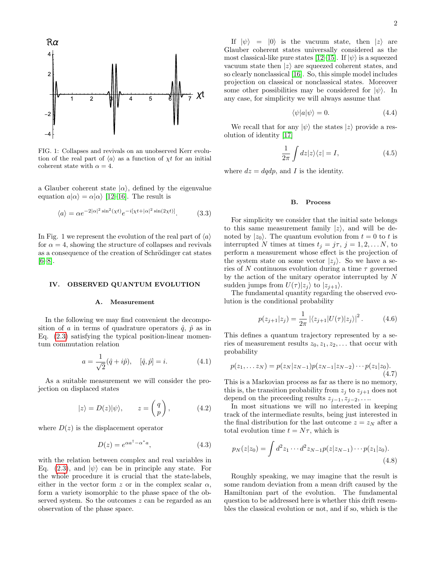

FIG. 1: Collapses and revivals on an unobserved Kerr evolution of the real part of  $\langle a \rangle$  as a function of  $\chi t$  for an initial coherent state with  $\alpha = 4$ .

a Glauber coherent state  $|\alpha\rangle$ , defined by the eigenvalue equation  $a|\alpha\rangle = \alpha|\alpha\rangle$  [\[12–](#page-7-7)[16\]](#page-7-8). The result is

$$
\langle a \rangle = \alpha e^{-2|\alpha|^2 \sin^2(\chi t)} e^{-i[\chi t + |\alpha|^2 \sin(2\chi t)]}.
$$
 (3.3)

In Fig. 1 we represent the evolution of the real part of  $\langle a \rangle$ for  $\alpha = 4$ , showing the structure of collapses and revivals as a consequence of the creation of Schrödinger cat states  $[6–8]$  $[6–8]$ .

## IV. OBSERVED QUANTUM EVOLUTION

### A. Measurement

In the following we may find convenient the decomposition of a in terms of quadrature operators  $\hat{q}$ ,  $\hat{p}$  as in Eq. [\(2.3\)](#page-0-2) satisfying the typical position-linear momentum commutation relation

$$
a = \frac{1}{\sqrt{2}}(\hat{q} + i\hat{p}), \quad [\hat{q}, \hat{p}] = i.
$$
 (4.1)

As a suitable measurement we will consider the projection on displaced states

$$
|z\rangle = D(z)|\psi\rangle, \qquad z = \begin{pmatrix} q \\ p \end{pmatrix}, \qquad (4.2)
$$

where  $D(z)$  is the displacement operator

<span id="page-1-2"></span>
$$
D(z) = e^{\alpha a^{\dagger} - \alpha^* a}, \tag{4.3}
$$

with the relation between complex and real variables in Eq. [\(2.3\)](#page-0-2), and  $|\psi\rangle$  can be in principle any state. For the whole procedure it is crucial that the state-labels, either in the vector form z or in the complex scalar  $\alpha$ , form a variety isomorphic to the phase space of the observed system. So the outcomes z can be regarded as an observation of the phase space.

If  $|\psi\rangle$  =  $|0\rangle$  is the vacuum state, then  $|z\rangle$  are Glauber coherent states universally considered as the most classical-like pure states [\[12–](#page-7-7)[15\]](#page-7-9). If  $|\psi\rangle$  is a squeezed vacuum state then  $|z\rangle$  are squeezed coherent states, and so clearly nonclassical [\[16\]](#page-7-8). So, this simple model includes projection on classical or nonclassical states. Moreover some other possibilities may be considered for  $|\psi\rangle$ . In any case, for simplicity we will always assume that

$$
\langle \psi | a | \psi \rangle = 0. \tag{4.4}
$$

We recall that for any  $|\psi\rangle$  the states  $|z\rangle$  provide a resolution of identity [\[17\]](#page-7-10)

<span id="page-1-3"></span>
$$
\frac{1}{2\pi} \int dz |z\rangle\langle z| = I,\tag{4.5}
$$

where  $dz = dqdp$ , and I is the identity.

### B. Process

For simplicity we consider that the initial sate belongs to this same measurement family  $|z\rangle$ , and will be denoted by  $|z_0\rangle$ . The quantum evolution from  $t = 0$  to t is interrupted N times at times  $t_j = j\tau, j = 1, 2, \ldots N$ , to perform a measurement whose effect is the projection of the system state on some vector  $|z_i\rangle$ . So we have a series of N continuous evolution during a time  $\tau$  governed by the action of the unitary operator interrupted by N sudden jumps from  $U(\tau)|z_i\rangle$  to  $|z_{i+1}\rangle$ .

The fundamental quantity regarding the observed evolution is the conditional probability

<span id="page-1-0"></span>
$$
p(z_{j+1}|z_j) = \frac{1}{2\pi} | \langle z_{j+1} | U(\tau) | z_j \rangle |^2.
$$
 (4.6)

This defines a quantum trajectory represented by a series of measurement results  $z_0, z_1, z_2, \ldots$  that occur with probability

$$
p(z_1,... z_N) = p(z_N|z_{N-1})p(z_{N-1}|z_{N-2})\cdots p(z_1|z_0).
$$
\n(4.7)

This is a Markovian process as far as there is no memory, this is, the transition probability from  $z_j$  to  $z_{j+1}$  does not depend on the preceeding results  $z_{j-1}, z_{j-2}, \ldots$ 

In most situations we will no interested in keeping track of the intermediate results, being just interested in the final distribution for the last outcome  $z = z<sub>N</sub>$  after a total evolution time  $t = N\tau$ , which is

<span id="page-1-1"></span>
$$
p_N(z|z_0) = \int d^2 z_1 \cdots d^2 z_{N-1} p(z|z_{N-1}) \cdots p(z_1|z_0).
$$
\n(4.8)

Roughly speaking, we may imagine that the result is some random deviation from a mean drift caused by the Hamiltonian part of the evolution. The fundamental question to be addressed here is whether this drift resembles the classical evolution or not, and if so, which is the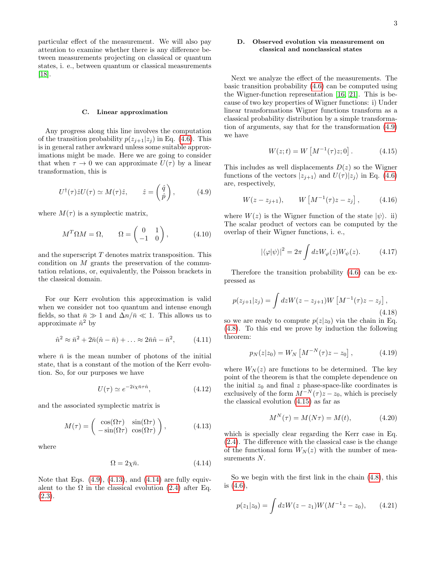particular effect of the measurement. We will also pay attention to examine whether there is any difference between measurements projecting on classical or quantum states, i. e., between quantum or classical measurements [\[18\]](#page-7-11).

### C. Linear approximation

Any progress along this line involves the computation of the transition probability  $p(z_{j+1}|z_j)$  in Eq. [\(4.6\)](#page-1-0). This is in general rather awkward unless some suitable approximations might be made. Here we are going to consider that when  $\tau \to 0$  we can approximate  $U(\tau)$  by a linear transformation, this is

<span id="page-2-0"></span>
$$
U^{\dagger}(\tau)\hat{z}U(\tau) \simeq M(\tau)\hat{z}, \qquad \hat{z} = \begin{pmatrix} \hat{q} \\ \hat{p} \end{pmatrix}, \tag{4.9}
$$

where  $M(\tau)$  is a symplectic matrix,

$$
M^T \Omega M = \Omega, \qquad \Omega = \begin{pmatrix} 0 & 1 \\ -1 & 0 \end{pmatrix}, \tag{4.10}
$$

and the superscript  $T$  denotes matrix transposition. This condition on  $M$  grants the preservation of the commutation relations, or, equivalently, the Poisson brackets in the classical domain.

For our Kerr evolution this approximation is valid when we consider not too quantum and intense enough fields, so that  $\bar{n} \gg 1$  and  $\Delta n / \bar{n} \ll 1$ . This allows us to approximate  $\hat{n}^2$  by

<span id="page-2-4"></span>
$$
\hat{n}^2 \approx \bar{n}^2 + 2\bar{n}(\hat{n} - \bar{n}) + \dots \approx 2\bar{n}\hat{n} - \bar{n}^2, \qquad (4.11)
$$

where  $\bar{n}$  is the mean number of photons of the initial state, that is a constant of the motion of the Kerr evolution. So, for our purposes we have

$$
U(\tau) \simeq e^{-2i\chi \bar{n}\tau \hat{n}},\tag{4.12}
$$

and the associated symplectic matrix is

<span id="page-2-1"></span>
$$
M(\tau) = \begin{pmatrix} \cos(\Omega \tau) & \sin(\Omega \tau) \\ -\sin(\Omega \tau) & \cos(\Omega \tau) \end{pmatrix},
$$
 (4.13)

where

<span id="page-2-2"></span>
$$
\Omega = 2\chi \bar{n}.\tag{4.14}
$$

Note that Eqs.  $(4.9)$ ,  $(4.13)$ , and  $(4.14)$  are fully equivalent to the  $\Omega$  in the classical evolution [\(2.4\)](#page-0-3) after Eq.  $(2.3).$  $(2.3).$ 

# D. Observed evolution via measurement on classical and nonclassical states

Next we analyze the effect of the measurements. The basic transition probability [\(4.6\)](#page-1-0) can be computed using the Wigner-function representation [\[16,](#page-7-8) [21\]](#page-7-12). This is because of two key properties of Wigner functions: i) Under linear transformations Wigner functions transform as a classical probability distribution by a simple transformation of arguments, say that for the transformation [\(4.9\)](#page-2-0) we have

<span id="page-2-3"></span>
$$
W(z;t) = W\left[M^{-1}(\tau)z;0\right].
$$
 (4.15)

This includes as well displacements  $D(z)$  so the Wigner functions of the vectors  $|z_{i+1}\rangle$  and  $U(\tau)|z_i\rangle$  in Eq. [\(4.6\)](#page-1-0) are, respectively,

$$
W(z - z_{j+1}),
$$
  $W[M^{-1}(\tau)z - z_j],$  (4.16)

where  $W(z)$  is the Wigner function of the state  $|\psi\rangle$ . ii) The scalar product of vectors can be computed by the overlap of their Wigner functions, i. e.,

$$
|\langle \varphi | \psi \rangle|^2 = 2\pi \int dz W_{\varphi}(z) W_{\psi}(z). \tag{4.17}
$$

Therefore the transition probability [\(4.6\)](#page-1-0) can be expressed as

$$
p(z_{j+1}|z_j) = \int dz W(z - z_{j+1}) W \left[ M^{-1}(\tau) z - z_j \right],
$$
\n(4.18)

so we are ready to compute  $p(z|z_0)$  via the chain in Eq. [\(4.8\)](#page-1-1). To this end we prove by induction the following theorem:

<span id="page-2-5"></span>
$$
p_N(z|z_0) = W_N \left[ M^{-N}(\tau) z - z_0 \right], \tag{4.19}
$$

where  $W_N(z)$  are functions to be determined. The key point of the theorem is that the complete dependence on the initial  $z_0$  and final z phase-space-like coordinates is exclusively of the form  $M^{-N}(\tau)z - z_0$ , which is precisely the classical evolution [\(4.15\)](#page-2-3) as far as

$$
M^N(\tau) = M(N\tau) = M(t),\tag{4.20}
$$

which is specially clear regarding the Kerr case in Eq. [\(2.4\)](#page-0-3). The difference with the classical case is the change of the functional form  $W_N(z)$  with the number of measurements N.

So we begin with the first link in the chain [\(4.8\)](#page-1-1), this is [\(4.6\)](#page-1-0),

$$
p(z_1|z_0) = \int dz W(z - z_1)W(M^{-1}z - z_0), \qquad (4.21)
$$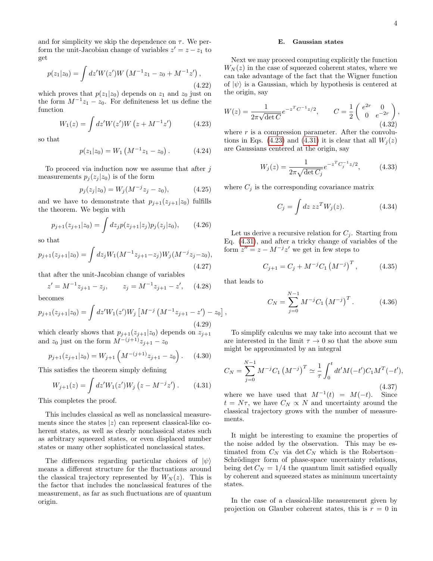and for simplicity we skip the dependence on  $\tau$ . We perform the unit-Jacobian change of variables  $z' = z - z_1$  to get

$$
p(z_1|z_0) = \int dz' W(z') W \left( M^{-1} z_1 - z_0 + M^{-1} z' \right),\tag{4.22}
$$

which proves that  $p(z_1|z_0)$  depends on  $z_1$  and  $z_0$  just on the form  $M^{-1}z_1 - z_0$ . For definiteness let us define the function

<span id="page-3-0"></span>
$$
W_1(z) = \int dz' W(z') W (z + M^{-1} z') \tag{4.23}
$$

so that

$$
p(z_1|z_0) = W_1 \left( M^{-1} z_1 - z_0 \right). \tag{4.24}
$$

To proceed via induction now we assume that after  $j$ measurements  $p_i(z_i | z_0)$  is of the form

$$
p_j(z_j|z_0) = W_j(M^{-j}z_j - z_0), \qquad (4.25)
$$

and we have to demonstrate that  $p_{j+1}(z_{j+1}|z_0)$  fulfills the theorem. We begin with

$$
p_{j+1}(z_{j+1}|z_0) = \int dz_j p(z_{j+1}|z_j) p_j(z_j|z_0), \qquad (4.26)
$$

so that

$$
p_{j+1}(z_{j+1}|z_0) = \int dz_j W_1(M^{-1}z_{j+1} - z_j)W_j(M^{-j}z_j - z_0),
$$
\n(4.27)

that after the unit-Jacobian change of variables

$$
z' = M^{-1}z_{j+1} - z_j, \qquad z_j = M^{-1}z_{j+1} - z', \quad (4.28)
$$

becomes

$$
p_{j+1}(z_{j+1}|z_0) = \int dz' W_1(z') W_j \left[ M^{-j} \left( M^{-1} z_{j+1} - z' \right) - z_0 \right]
$$
\n(4.29)

which clearly shows that  $p_{j+1}(z_{j+1}|z_0)$  depends on  $z_{j+1}$ and  $z_0$  just on the form  $M^{-(j+1)}z_{j+1} - z_0$ 

$$
p_{j+1}(z_{j+1}|z_0) = W_{j+1}\left(M^{-(j+1)}z_{j+1} - z_0\right). \tag{4.30}
$$

This satisfies the theorem simply defining

<span id="page-3-1"></span>
$$
W_{j+1}(z) = \int dz' W_1(z') W_j (z - M^{-j} z'). \qquad (4.31)
$$

This completes the proof.

This includes classical as well as nonclassical measurements since the states  $|z\rangle$  can represent classical-like coherent states, as well as clearly nonclassical states such as arbitrary squeezed states, or even displaced number states or many other sophisticated nonclassical states.

The differences regarding particular choices of  $|\psi\rangle$ means a different structure for the fluctuations around the classical trajectory represented by  $W_N(z)$ . This is the factor that includes the nonclassical features of the measurement, as far as such fluctuations are of quantum origin.

### E. Gaussian states

Next we may proceed computing explicitly the function  $W_N(z)$  in the case of squeezed coherent states, where we can take advantage of the fact that the Wigner function of  $|\psi\rangle$  is a Gaussian, which by hypothesis is centered at the origin, say

<span id="page-3-2"></span>
$$
W(z) = \frac{1}{2\pi\sqrt{\det C}} e^{-z^T C^{-1}z/2}, \qquad C = \frac{1}{2} \begin{pmatrix} e^{2r} & 0\\ 0 & e^{-2r} \end{pmatrix},
$$
\n(4.32)

where  $r$  is a compression parameter. After the convolu-tions in Eqs. [\(4.23\)](#page-3-0) and [\(4.31\)](#page-3-1) it is clear that all  $W_i(z)$ are Gaussians centered at the origin, say

<span id="page-3-5"></span>
$$
W_j(z) = \frac{1}{2\pi\sqrt{\det C_j}} e^{-z^T C_j^{-1} z/2},
$$
 (4.33)

where  $C_j$  is the corresponding covariance matrix

$$
C_j = \int dz \, zz^T W_j(z). \tag{4.34}
$$

Let us derive a recursive relation for  $C_j$ . Starting from Eq. [\(4.31\)](#page-3-1), and after a tricky change of variables of the form  $z'' = z - M^{-j}z'$  we get in few steps to

$$
C_{j+1} = C_j + M^{-j} C_1 \left( M^{-j} \right)^T, \tag{4.35}
$$

that leads to

,

<span id="page-3-3"></span>
$$
C_N = \sum_{j=0}^{N-1} M^{-j} C_1 \left( M^{-j} \right)^T.
$$
 (4.36)

To simplify calculus we may take into account that we are interested in the limit  $\tau \to 0$  so that the above sum might be approximated by an integral

<span id="page-3-4"></span>
$$
C_N = \sum_{j=0}^{N-1} M^{-j} C_1 \left( M^{-j} \right)^T \simeq \frac{1}{\tau} \int_0^t dt' M(-t') C_1 M^T(-t'),
$$
\n(4.37)

where we have used that  $M^{-1}(t) = M(-t)$ . Since  $t = N\tau$ , we have  $C_N \propto N$  and uncertainty around the classical trajectory grows with the number of measurements.

It might be interesting to examine the properties of the noise added by the observation. This may be estimated from  $C_N$  via  $\det C_N$  which is the Robertson– Schrödinger form of phase-space uncertainty relations, being det  $C_N = 1/4$  the quantum limit satisfied equally by coherent and squeezed states as minimum uncertainty states.

In the case of a classical-like measurement given by projection on Glauber coherent states, this is  $r = 0$  in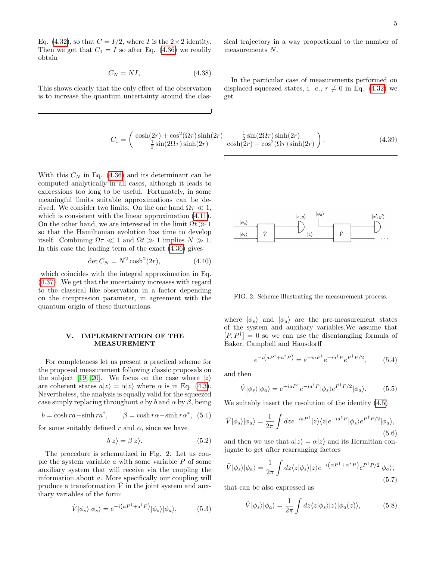Eq. [\(4.32\)](#page-3-2), so that  $C = I/2$ , where I is the  $2 \times 2$  identity. Then we get that  $C_1 = I$  so after Eq. [\(4.36\)](#page-3-3) we readily obtain

<span id="page-4-0"></span>
$$
C_N = NI,\t(4.38)
$$

This shows clearly that the only effect of the observation is to increase the quantum uncertainty around the clas-

$$
C_1 = \begin{pmatrix} \cosh(2r) + \cos^2(\Omega \tau) \sinh(2r) & \frac{1}{2}\sin(2\Omega \tau) \\ \frac{1}{2}\sin(2\Omega \tau) \sinh(2r) & \cosh(2r) - \cos^2(2r) \end{pmatrix}
$$

With this  $C_N$  in Eq. [\(4.36\)](#page-3-3) and its determinant can be computed analytically in all cases, although it leads to expressions too long to be useful. Fortunately, in some meaningful limits suitable approximations can be derived. We consider two limits. On the one hand  $\Omega \tau \ll 1$ , which is consistent with the linear approximation  $(4.11)$ . On the other hand, we are interested in the limit  $\Omega t \gg 1$ so that the Hamiltonian evolution has time to develop itself. Combining  $\Omega \tau \ll 1$  and  $\Omega t \gg 1$  implies  $N \gg 1$ . In this case the leading term of the exact [\(4.36\)](#page-3-3) gives

$$
\det C_N = N^2 \cosh^2(2r),\tag{4.40}
$$

which coincides with the integral approximation in Eq. [\(4.37\)](#page-3-4). We get that the uncertainty increases with regard to the classical like observation in a factor depending on the compression parameter, in agreement with the quantum origin of these fluctuations.

### V. IMPLEMENTATION OF THE MEASUREMENT

For completeness let us present a practical scheme for the proposed measurement following classic proposals on the subject [\[19,](#page-7-13) [20\]](#page-7-14). We focus on the case where  $|z\rangle$ are coherent states  $a|z\rangle = \alpha|z\rangle$  where  $\alpha$  is in Eq. [\(4.3\)](#page-1-2). Nevertheless, the analysis is equally valid for the squeezed case simply replacing throughout a by b and  $\alpha$  by  $\beta$ , being

$$
b = \cosh ra - \sinh ra^{\dagger}, \qquad \beta = \cosh r\alpha - \sinh r\alpha^*, \tag{5.1}
$$

for some suitably defined r and  $\alpha$ , since we have

$$
b|z\rangle = \beta|z\rangle. \tag{5.2}
$$

The procedure is schematized in Fig. 2. Let us couple the system variable  $a$  with some variable  $P$  of some auxiliary system that will receive via the coupling the information about a. More specifically our coupling will produce a transformation  $\hat{V}$  in the joint system and auxiliary variables of the form:

$$
\hat{V}|\phi_s\rangle|\phi_s\rangle = e^{-i\left(aP^\dagger + a^\dagger P\right)}|\phi_s\rangle|\phi_a\rangle,\tag{5.3}
$$

sical trajectory in a way proportional to the number of measurements N.

In the particular case of measurements performed on displaced squeezed states, i. e.,  $r \neq 0$  in Eq. [\(4.32\)](#page-3-2) we get

$$
\frac{\frac{1}{2}\sin(2\Omega\tau)\sinh(2r)}{\cosh(2r)-\cos^2(\Omega\tau)\sinh(2r)}.
$$
\n(4.39)



FIG. 2: Scheme illustrating the measurement process.

where  $|\phi_s\rangle$  and  $|\phi_a\rangle$  are the pre-measurement states of the system and auxiliary variables.We assume that  $[P, P^{\dagger}] = 0$  so we can use the disentangling formula of Baker, Campbell and Hausdorff

$$
e^{-i\left(aP^{\dagger}+a^{\dagger}P\right)} = e^{-iaP^{\dagger}}e^{-ia^{\dagger}P}e^{P^{\dagger}P/2},\tag{5.4}
$$

and then

$$
\hat{V}|\phi_s\rangle|\phi_a\rangle = e^{-iaP^{\dagger}}e^{-ia^{\dagger}P}|\phi_s\rangle e^{P^{\dagger}P/2}|\phi_a\rangle. \tag{5.5}
$$

We suitably insert the resolution of the identity [\(4.5\)](#page-1-3)

$$
\hat{V}|\phi_s\rangle|\phi_a\rangle = \frac{1}{2\pi} \int dz e^{-iaP^{\dagger}}|z\rangle\langle z|e^{-ia^{\dagger}P}|\phi_s\rangle e^{P^{\dagger}P/2}|\phi_a\rangle, \tag{5.6}
$$

and then we use that  $a|z\rangle = \alpha|z\rangle$  and its Hermitian conjugate to get after rearranging factors

$$
\hat{V}|\phi_s\rangle|\phi_a\rangle = \frac{1}{2\pi} \int dz \langle z|\phi_s\rangle|z\rangle e^{-i(\alpha P^\dagger + \alpha^* P)} e^{P^\dagger P/2}|\phi_a\rangle,
$$
\n(5.7)

that can be also expressed as

$$
\hat{V}|\phi_s\rangle|\phi_a\rangle = \frac{1}{2\pi} \int dz \langle z|\phi_s\rangle|z\rangle|\phi_a(z)\rangle, \tag{5.8}
$$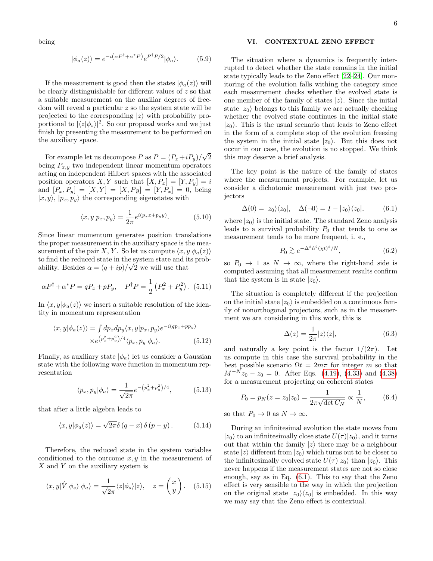being

$$
|\phi_a(z)\rangle = e^{-i(\alpha P^\dagger + \alpha^* P)} e^{P^\dagger P/2} |\phi_a\rangle.
$$
 (5.9)

If the measurement is good then the states  $|\phi_a(z)\rangle$  will be clearly distinguishable for different values of z so that a suitable measurement on the auxiliar degrees of freedom will reveal a particular z so the system state will be projected to the corresponding  $|z\rangle$  with probability proportional to  $|\langle z|\phi_s\rangle|^2$ . So our proposal works and we just finish by presenting the measurement to be performed on the auxiliary space.

For example let us decompose P as  $P = (P_x + iP_y)$ √ 2 being  $P_{x,y}$  two independent linear momentum operators acting on independent Hilbert spaces with the associated position operators X, Y such that  $[X, P_x] = [Y, P_y] = i$ and  $[P_x, P_y] = [X, Y] = [X, Py] = [Y, P_x] = 0$ , being  $|x, y\rangle$ ,  $|p_x, p_y\rangle$  the corresponding eigenstates with

$$
\langle x, y | p_x, p_y \rangle = \frac{1}{2\pi} e^{i(p_x x + p_y y)}.
$$
 (5.10)

Since linear momentum generates position translations the proper measurement in the auxiliary space is the measurement of the pair X, Y. So let us compute  $\langle x, y | \phi_a(z) \rangle$ to find the reduced state in the system state and its probability. Besides  $\alpha = (q + ip)/\sqrt{2}$  we will use that

$$
\alpha P^{\dagger} + \alpha^* P = q P_x + p P_y, \quad P^{\dagger} P = \frac{1}{2} \left( P_x^2 + P_y^2 \right). \tag{5.11}
$$

In  $\langle x, y | \phi_a(z) \rangle$  we insert a suitable resolution of the identity in momentum representation

$$
\langle x, y | \phi_a(z) \rangle = \int dp_x dp_y \langle x, y | p_x, p_y \rangle e^{-i(qp_x + pp_y)} \times e^{(p_x^2 + p_y^2)/4} \langle p_x, p_y | \phi_a \rangle.
$$
\n(5.12)

Finally, as auxiliary state  $|\phi_a\rangle$  let us consider a Gaussian state with the following wave function in momentum representation

$$
\langle p_x, p_y | \phi_a \rangle = \frac{1}{\sqrt{2\pi}} e^{-\left(p_x^2 + p_y^2\right)/4},\tag{5.13}
$$

that after a little algebra leads to

$$
\langle x, y | \phi_a(z) \rangle = \sqrt{2\pi} \delta (q - x) \delta (p - y). \tag{5.14}
$$

Therefore, the reduced state in the system variables conditioned to the outcome  $x, y$  in the measurement of  $X$  and  $Y$  on the auxiliary system is

$$
\langle x, y | \hat{V} | \phi_s \rangle | \phi_a \rangle = \frac{1}{\sqrt{2\pi}} \langle z | \phi_s \rangle | z \rangle, \quad z = \begin{pmatrix} x \\ y \end{pmatrix}.
$$
 (5.15)

## VI. CONTEXTUAL ZENO EFFECT

The situation where a dynamics is frequently interrupted to detect whether the state remains in the initial state typically leads to the Zeno effect [\[22](#page-7-15)[–24\]](#page-7-16). Our monitoring of the evolution falls withing the category since each measurement checks whether the evolved state is one member of the family of states  $|z\rangle$ . Since the initial state  $|z_0\rangle$  belongs to this family we are actually checking whether the evolved state continues in the initial state  $|z_0\rangle$ . This is the usual scenario that leads to Zeno effect in the form of a complete stop of the evolution freezing the system in the initial state  $|z_0\rangle$ . But this does not occur in our case, the evolution is no stopped. We think this may deserve a brief analysis.

The key point is the nature of the family of states where the measurement projects. For example, let us consider a dichotomic measurement with just two projectors

<span id="page-5-0"></span>
$$
\Delta(0) = |z_0\rangle\langle z_0|, \quad \Delta(\neg 0) = I - |z_0\rangle\langle z_0|, \tag{6.1}
$$

where  $|z_0\rangle$  is the initial state. The standard Zeno analysis leads to a survival probability  $P_0$  that tends to one as measurement tends to be more frequent, i. e.,

$$
P_0 \gtrsim e^{-\Delta^2 \hat{n}^2 (\chi t)^2 / N},\tag{6.2}
$$

so  $P_0 \rightarrow 1$  as  $N \rightarrow \infty$ , where the right-hand side is computed assuming that all measurement results confirm that the system is in state  $|z_0\rangle$ .

The situation is completely different if the projection on the initial state  $|z_0\rangle$  is embedded on a continuous family of nonorthogonal projectors, such as in the measuerment we ara considering in this work, this is

$$
\Delta(z) = \frac{1}{2\pi} |z\rangle\langle z|,\tag{6.3}
$$

and naturally a key point is the factor  $1/(2\pi)$ . Let us compute in this case the survival probability in the best possible scenario  $\Omega t = 2m\pi$  for integer m so that  $M^{-N}z_0 - z_0 = 0$ . After Eqs. [\(4.19\)](#page-2-5), [\(4.33\)](#page-3-5) and [\(4.38\)](#page-4-0) for a measurement projecting on coherent states

$$
P_0 = p_N(z = z_0 | z_0) = \frac{1}{2\pi\sqrt{\det C_N}} \propto \frac{1}{N},
$$
 (6.4)

so that  $P_0 \to 0$  as  $N \to \infty$ .

During an infinitesimal evolution the state moves from  $|z_0\rangle$  to an infinitesimally close state  $U(\tau)|z_0\rangle$ , and it turns out that within the family  $|z\rangle$  there may be a neighbour state  $|z\rangle$  different from  $|z_0\rangle$  which turns out to be closer to the infinitesimally evolved state  $U(\tau)|z_0\rangle$  than  $|z_0\rangle$ . This never happens if the measurement states are not so close enough, say as in Eq. [\(6.1\)](#page-5-0). This to say that the Zeno effect is very sensible to the way in which the projection on the original state  $|z_0\rangle\langle z_0|$  is embedded. In this way we may say that the Zeno effect is contextual.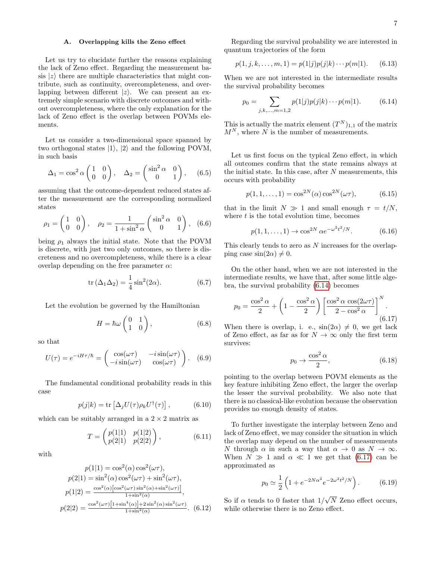## A. Overlapping kills the Zeno effect

Let us try to elucidate further the reasons explaining the lack of Zeno effect. Regarding the measurement basis  $|z\rangle$  there are multiple characteristics that might contribute, such as continuity, overcompleteness, and overlapping between different  $|z\rangle$ . We can present an extremely simple scenario with discrete outcomes and without overcompleteness, where the only explanation for the lack of Zeno effect is the overlap between POVMs elements.

Let us consider a two-dimensional space spanned by two orthogonal states  $|1\rangle$ ,  $|2\rangle$  and the following POVM, in such basis

$$
\Delta_1 = \cos^2 \alpha \begin{pmatrix} 1 & 0 \\ 0 & 0 \end{pmatrix}, \quad \Delta_2 = \begin{pmatrix} \sin^2 \alpha & 0 \\ 0 & 1 \end{pmatrix}, \quad (6.5)
$$

assuming that the outcome-dependent reduced states after the measurement are the corresponding normalized states

$$
\rho_1 = \begin{pmatrix} 1 & 0 \\ 0 & 0 \end{pmatrix}, \quad \rho_2 = \frac{1}{1 + \sin^2 \alpha} \begin{pmatrix} \sin^2 \alpha & 0 \\ 0 & 1 \end{pmatrix}, \quad (6.6)
$$

being  $\rho_1$  always the initial state. Note that the POVM is discrete, with just two only outcomes, so there is discreteness and no overcompleteness, while there is a clear overlap depending on the free parameter  $\alpha$ :

$$
\operatorname{tr}\left(\Delta_1\Delta_2\right) = \frac{1}{4}\sin^2(2\alpha). \tag{6.7}
$$

Let the evolution be governed by the Hamiltonian

$$
H = \hbar \omega \begin{pmatrix} 0 & 1 \\ 1 & 0 \end{pmatrix}, \tag{6.8}
$$

so that

$$
U(\tau) = e^{-iH\tau/\hbar} = \begin{pmatrix} \cos(\omega\tau) & -i\sin(\omega\tau) \\ -i\sin(\omega\tau) & \cos(\omega\tau) \end{pmatrix}.
$$
 (6.9)

The fundamental conditional probability reads in this case

$$
p(j|k) = \text{tr}\left[\Delta_j U(\tau)\rho_k U^{\dagger}(\tau)\right],\tag{6.10}
$$

which can be suitably arranged in a  $2 \times 2$  matrix as

$$
T = \begin{pmatrix} p(1|1) & p(1|2) \\ p(2|1) & p(2|2) \end{pmatrix}, \tag{6.11}
$$

with

$$
p(1|1) = \cos^2(\alpha)\cos^2(\omega\tau),
$$
  
\n
$$
p(2|1) = \sin^2(\alpha)\cos^2(\omega\tau) + \sin^2(\omega\tau),
$$
  
\n
$$
p(1|2) = \frac{\cos^2(\alpha)\left[\cos^2(\omega\tau)\sin^2(\alpha) + \sin^2(\omega\tau)\right]}{1 + \sin^2(\alpha)},
$$
  
\n
$$
p(2|2) = \frac{\cos^2(\omega\tau)\left[1 + \sin^4(\alpha)\right] + 2\sin^2(\alpha)\sin^2(\omega\tau)}{1 + \sin^2(\alpha)}.
$$
 (6.12)

Regarding the survival probability we are interested in quantum trajectories of the form

$$
p(1, j, k, \dots, m, 1) = p(1|j)p(j|k) \cdots p(m|1). \quad (6.13)
$$

When we are not interested in the intermediate results the survival probability becomes

<span id="page-6-0"></span>
$$
p_0 = \sum_{j,k,\dots,m=1,2} p(1|j)p(j|k)\cdots p(m|1). \tag{6.14}
$$

This is actually the matrix element  $(T^N)_{1,1}$  of the matrix  $M^N$ , where N is the number of measurements.

Let us first focus on the typical Zeno effect, in which all outcomes confirm that the state remains always at the initial state. In this case, after  $N$  measurements, this occurs with probability

$$
p(1, 1, ..., 1) = \cos^{2N}(\alpha) \cos^{2N}(\omega \tau),
$$
 (6.15)

that in the limit  $N \gg 1$  and small enough  $\tau = t/N$ , where  $t$  is the total evolution time, becomes

$$
p(1, 1, ..., 1) \to \cos^{2N} \alpha e^{-\omega^2 t^2/N}.
$$
 (6.16)

This clearly tends to zero as  $N$  increases for the overlapping case  $\sin(2\alpha) \neq 0$ .

On the other hand, when we are not interested in the intermediate results, we have that, after some little algebra, the survival probability [\(6.14\)](#page-6-0) becomes

<span id="page-6-1"></span>
$$
p_0 = \frac{\cos^2 \alpha}{2} + \left(1 - \frac{\cos^2 \alpha}{2}\right) \left[\frac{\cos^2 \alpha \cos(2\omega \tau)}{2 - \cos^2 \alpha}\right]^N.
$$
\n(6.17)

When there is overlap, i. e.,  $sin(2\alpha) \neq 0$ , we get lack of Zeno effect, as far as for  $N \to \infty$  only the first term survives:

$$
p_0 \to \frac{\cos^2 \alpha}{2},\tag{6.18}
$$

pointing to the overlap between POVM elements as the key feature inhibiting Zeno effect, the larger the overlap the lesser the survival probability. We also note that there is no classical-like evolution because the observation provides no enough density of states.

To further investigate the interplay between Zeno and lack of Zeno effect, we may consider the situation in which the overlap may depend on the number of measurements N through  $\alpha$  in such a way that  $\alpha \to 0$  as  $N \to \infty$ . When  $N \gg 1$  and  $\alpha \ll 1$  we get that [\(6.17\)](#page-6-1) can be approximated as

$$
p_0 \simeq \frac{1}{2} \left( 1 + e^{-2N\alpha^2} e^{-2\omega^2 t^2/N} \right). \tag{6.19}
$$

So if  $\alpha$  tends to 0 faster that  $1/$ N Zeno effect occurs, while otherwise there is no Zeno effect.